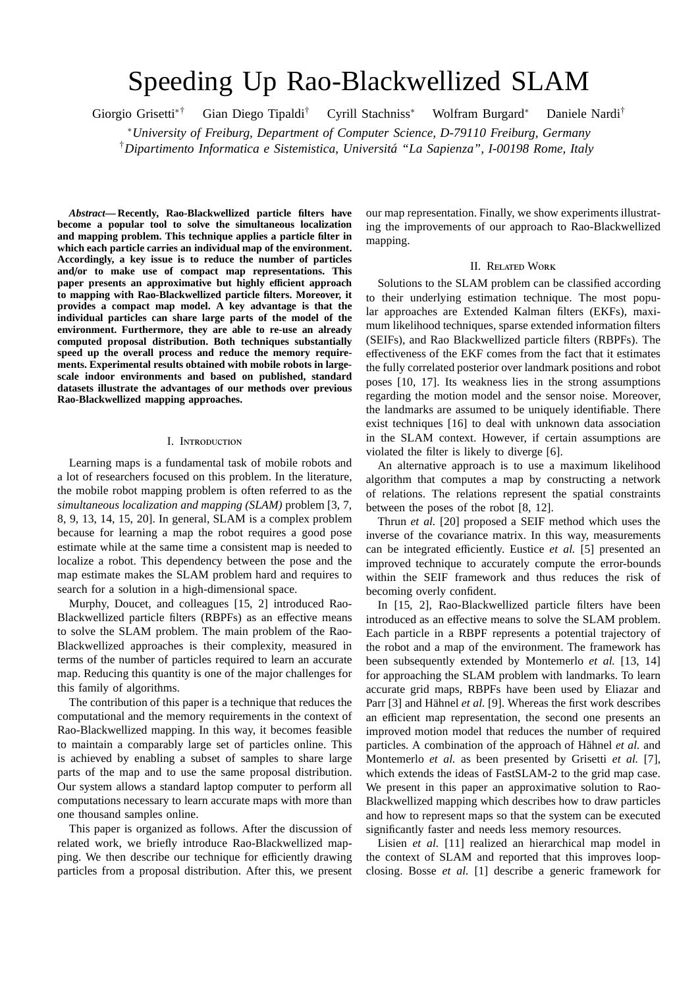# Speeding Up Rao-Blackwellized SLAM

Giorgio Grisetti∗† Gian Diego Tipaldi† Cyrill Stachniss<sup>∗</sup> Wolfram Burgard<sup>∗</sup> Daniele Nardi†

<sup>∗</sup>*University of Freiburg, Department of Computer Science, D-79110 Freiburg, Germany* <sup>†</sup>Dipartimento Informatica e Sistemistica, Universitá "La Sapienza", I-00198 Rome, Italy

*Abstract***— Recently, Rao-Blackwellized particle filters have become a popular tool to solve the simultaneous localization and mapping problem. This technique applies a particle filter in which each particle carries an individual map of the environment. Accordingly, a key issue is to reduce the number of particles and**/**or to make use of compact map representations. This** paper presents an approximative but highly efficient approach **to mapping with Rao-Blackwellized particle filters. Moreover, it provides a compact map model. A key advantage is that the individual particles can share large parts of the model of the environment. Furthermore, they are able to re-use an already computed proposal distribution. Both techniques substantially speed up the overall process and reduce the memory requirements. Experimental results obtained with mobile robots in largescale indoor environments and based on published, standard datasets illustrate the advantages of our methods over previous Rao-Blackwellized mapping approaches.**

# I. I

Learning maps is a fundamental task of mobile robots and a lot of researchers focused on this problem. In the literature, the mobile robot mapping problem is often referred to as the *simultaneous localization and mapping (SLAM)* problem [3, 7, 8, 9, 13, 14, 15, 20]. In general, SLAM is a complex problem because for learning a map the robot requires a good pose estimate while at the same time a consistent map is needed to localize a robot. This dependency between the pose and the map estimate makes the SLAM problem hard and requires to search for a solution in a high-dimensional space.

Murphy, Doucet, and colleagues [15, 2] introduced Rao-Blackwellized particle filters (RBPFs) as an effective means to solve the SLAM problem. The main problem of the Rao-Blackwellized approaches is their complexity, measured in terms of the number of particles required to learn an accurate map. Reducing this quantity is one of the major challenges for this family of algorithms.

The contribution of this paper is a technique that reduces the computational and the memory requirements in the context of Rao-Blackwellized mapping. In this way, it becomes feasible to maintain a comparably large set of particles online. This is achieved by enabling a subset of samples to share large parts of the map and to use the same proposal distribution. Our system allows a standard laptop computer to perform all computations necessary to learn accurate maps with more than one thousand samples online.

This paper is organized as follows. After the discussion of related work, we briefly introduce Rao-Blackwellized mapping. We then describe our technique for efficiently drawing particles from a proposal distribution. After this, we present our map representation. Finally, we show experiments illustrating the improvements of our approach to Rao-Blackwellized mapping.

### II. R  $W$

Solutions to the SLAM problem can be classified according to their underlying estimation technique. The most popular approaches are Extended Kalman filters (EKFs), maximum likelihood techniques, sparse extended information filters (SEIFs), and Rao Blackwellized particle filters (RBPFs). The effectiveness of the EKF comes from the fact that it estimates the fully correlated posterior over landmark positions and robot poses [10, 17]. Its weakness lies in the strong assumptions regarding the motion model and the sensor noise. Moreover, the landmarks are assumed to be uniquely identifiable. There exist techniques [16] to deal with unknown data association in the SLAM context. However, if certain assumptions are violated the filter is likely to diverge [6].

An alternative approach is to use a maximum likelihood algorithm that computes a map by constructing a network of relations. The relations represent the spatial constraints between the poses of the robot [8, 12].

Thrun *et al.* [20] proposed a SEIF method which uses the inverse of the covariance matrix. In this way, measurements can be integrated efficiently. Eustice *et al.* [5] presented an improved technique to accurately compute the error-bounds within the SEIF framework and thus reduces the risk of becoming overly confident.

In [15, 2], Rao-Blackwellized particle filters have been introduced as an effective means to solve the SLAM problem. Each particle in a RBPF represents a potential trajectory of the robot and a map of the environment. The framework has been subsequently extended by Montemerlo *et al.* [13, 14] for approaching the SLAM problem with landmarks. To learn accurate grid maps, RBPFs have been used by Eliazar and Parr [3] and Hähnel *et al.* [9]. Whereas the first work describes an efficient map representation, the second one presents an improved motion model that reduces the number of required particles. A combination of the approach of Hähnel *et al.* and Montemerlo *et al.* as been presented by Grisetti *et al.* [7], which extends the ideas of FastSLAM-2 to the grid map case. We present in this paper an approximative solution to Rao-Blackwellized mapping which describes how to draw particles and how to represent maps so that the system can be executed significantly faster and needs less memory resources.

Lisien *et al.* [11] realized an hierarchical map model in the context of SLAM and reported that this improves loopclosing. Bosse *et al.* [1] describe a generic framework for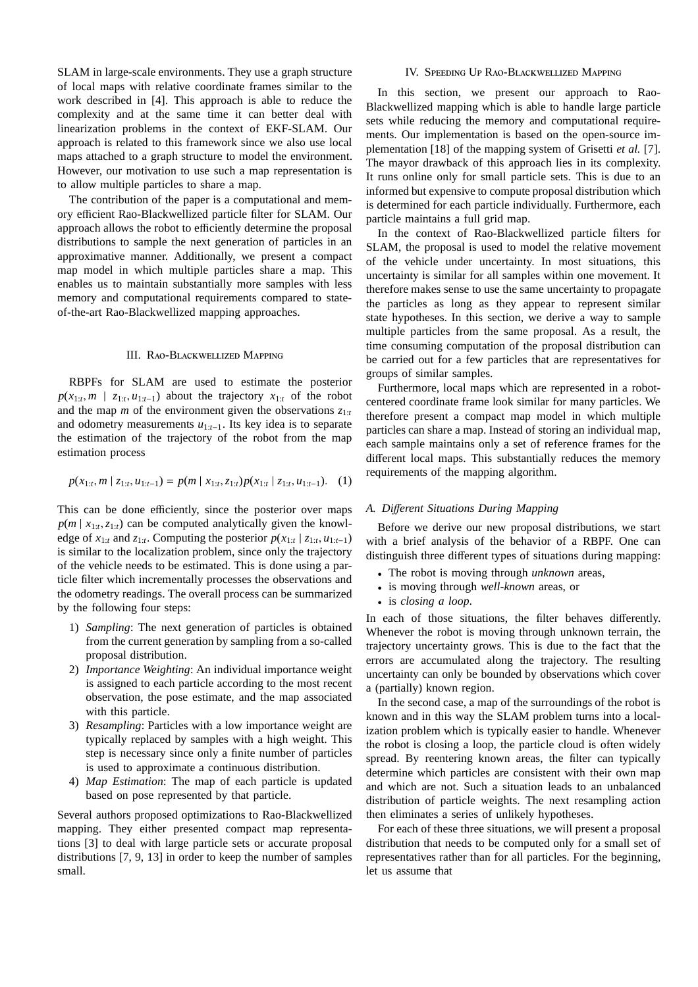SLAM in large-scale environments. They use a graph structure of local maps with relative coordinate frames similar to the work described in [4]. This approach is able to reduce the complexity and at the same time it can better deal with linearization problems in the context of EKF-SLAM. Our approach is related to this framework since we also use local maps attached to a graph structure to model the environment. However, our motivation to use such a map representation is to allow multiple particles to share a map.

The contribution of the paper is a computational and memory efficient Rao-Blackwellized particle filter for SLAM. Our approach allows the robot to efficiently determine the proposal distributions to sample the next generation of particles in an approximative manner. Additionally, we present a compact map model in which multiple particles share a map. This enables us to maintain substantially more samples with less memory and computational requirements compared to stateof-the-art Rao-Blackwellized mapping approaches.

III. 
$$
R - B
$$
 M

RBPFs for SLAM are used to estimate the posterior  $p(x_{1:t}, m \mid z_{1:t}, u_{1:t-1})$  about the trajectory  $x_{1:t}$  of the robot and the map *m* of the environment given the observations  $z_{1:t}$ and odometry measurements *u*1:*t*−1. Its key idea is to separate the estimation of the trajectory of the robot from the map estimation process

$$
p(x_{1:t}, m \mid z_{1:t}, u_{1:t-1}) = p(m \mid x_{1:t}, z_{1:t}) p(x_{1:t} \mid z_{1:t}, u_{1:t-1}). \quad (1)
$$

This can be done efficiently, since the posterior over maps  $p(m \mid x_{1:t}, z_{1:t})$  can be computed analytically given the knowledge of  $x_{1:t}$  and  $z_{1:t}$ . Computing the posterior  $p(x_{1:t} | z_{1:t}, u_{1:t-1})$ is similar to the localization problem, since only the trajectory of the vehicle needs to be estimated. This is done using a particle filter which incrementally processes the observations and the odometry readings. The overall process can be summarized by the following four steps:

- 1) *Sampling*: The next generation of particles is obtained from the current generation by sampling from a so-called proposal distribution.
- 2) *Importance Weighting*: An individual importance weight is assigned to each particle according to the most recent observation, the pose estimate, and the map associated with this particle.
- 3) *Resampling*: Particles with a low importance weight are typically replaced by samples with a high weight. This step is necessary since only a finite number of particles is used to approximate a continuous distribution.
- 4) *Map Estimation*: The map of each particle is updated based on pose represented by that particle.

Several authors proposed optimizations to Rao-Blackwellized mapping. They either presented compact map representations [3] to deal with large particle sets or accurate proposal distributions [7, 9, 13] in order to keep the number of samples small.

IV. S 
$$
U R - B
$$
 M

In this section, we present our approach to Rao-Blackwellized mapping which is able to handle large particle sets while reducing the memory and computational requirements. Our implementation is based on the open-source implementation [18] of the mapping system of Grisetti *et al.* [7]. The mayor drawback of this approach lies in its complexity. It runs online only for small particle sets. This is due to an informed but expensive to compute proposal distribution which is determined for each particle individually. Furthermore, each particle maintains a full grid map.

In the context of Rao-Blackwellized particle filters for SLAM, the proposal is used to model the relative movement of the vehicle under uncertainty. In most situations, this uncertainty is similar for all samples within one movement. It therefore makes sense to use the same uncertainty to propagate the particles as long as they appear to represent similar state hypotheses. In this section, we derive a way to sample multiple particles from the same proposal. As a result, the time consuming computation of the proposal distribution can be carried out for a few particles that are representatives for groups of similar samples.

Furthermore, local maps which are represented in a robotcentered coordinate frame look similar for many particles. We therefore present a compact map model in which multiple particles can share a map. Instead of storing an individual map, each sample maintains only a set of reference frames for the different local maps. This substantially reduces the memory requirements of the mapping algorithm.

### *A. Di*ff*erent Situations During Mapping*

Before we derive our new proposal distributions, we start with a brief analysis of the behavior of a RBPF. One can distinguish three different types of situations during mapping:

- The robot is moving through *unknown* areas,
- is moving through *well-known* areas, or
- is *closing a loop*.

In each of those situations, the filter behaves differently. Whenever the robot is moving through unknown terrain, the trajectory uncertainty grows. This is due to the fact that the errors are accumulated along the trajectory. The resulting uncertainty can only be bounded by observations which cover a (partially) known region.

In the second case, a map of the surroundings of the robot is known and in this way the SLAM problem turns into a localization problem which is typically easier to handle. Whenever the robot is closing a loop, the particle cloud is often widely spread. By reentering known areas, the filter can typically determine which particles are consistent with their own map and which are not. Such a situation leads to an unbalanced distribution of particle weights. The next resampling action then eliminates a series of unlikely hypotheses.

For each of these three situations, we will present a proposal distribution that needs to be computed only for a small set of representatives rather than for all particles. For the beginning, let us assume that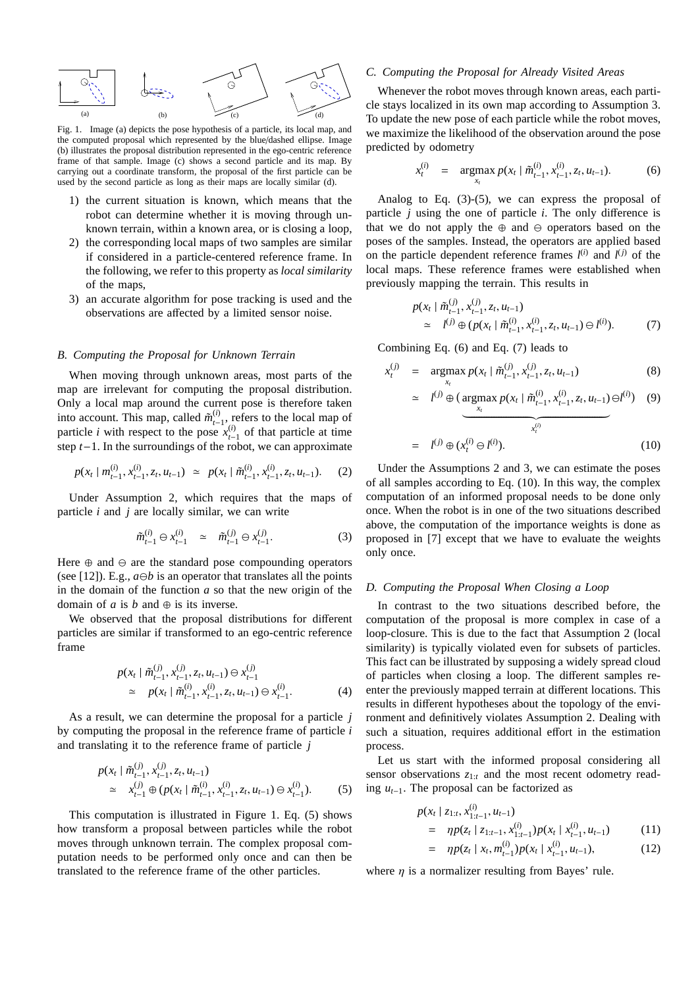

Fig. 1. Image (a) depicts the pose hypothesis of a particle, its local map, and the computed proposal which represented by the blue/dashed ellipse. Image (b) illustrates the proposal distribution represented in the ego-centric reference frame of that sample. Image (c) shows a second particle and its map. By carrying out a coordinate transform, the proposal of the first particle can be used by the second particle as long as their maps are locally similar (d).

- 1) the current situation is known, which means that the robot can determine whether it is moving through unknown terrain, within a known area, or is closing a loop,
- 2) the corresponding local maps of two samples are similar if considered in a particle-centered reference frame. In the following, we refer to this property as *local similarity* of the maps,
- 3) an accurate algorithm for pose tracking is used and the observations are affected by a limited sensor noise.

#### *B. Computing the Proposal for Unknown Terrain*

When moving through unknown areas, most parts of the map are irrelevant for computing the proposal distribution. Only a local map around the current pose is therefore taken into account. This map, called  $\tilde{m}_{t-1}^{(i)}$ , refers to the local map of particle *i* with respect to the pose  $x_{t-1}^{(i)}$  of that particle at time step *t*−1. In the surroundings of the robot, we can approximate

$$
p(x_t | m_{t-1}^{(i)}, x_{t-1}^{(i)}, z_t, u_{t-1}) \simeq p(x_t | \tilde{m}_{t-1}^{(i)}, x_{t-1}^{(i)}, z_t, u_{t-1}). \tag{2}
$$

Under Assumption 2, which requires that the maps of particle *i* and *j* are locally similar, we can write

$$
\tilde{m}_{t-1}^{(i)} \ominus x_{t-1}^{(i)} \simeq \tilde{m}_{t-1}^{(j)} \ominus x_{t-1}^{(j)}.
$$
 (3)

Here  $\oplus$  and  $\ominus$  are the standard pose compounding operators (see [12]). E.g.,  $a \ominus b$  is an operator that translates all the points in the domain of the function *a* so that the new origin of the domain of *a* is *b* and  $\oplus$  is its inverse.

We observed that the proposal distributions for different particles are similar if transformed to an ego-centric reference frame

$$
p(x_t | \tilde{m}_{t-1}^{(j)}, x_{t-1}^{(j)}, z_t, u_{t-1}) \ominus x_{t-1}^{(j)}
$$
  
\n
$$
\simeq p(x_t | \tilde{m}_{t-1}^{(i)}, x_{t-1}^{(i)}, z_t, u_{t-1}) \ominus x_{t-1}^{(i)}.
$$
 (4)

As a result, we can determine the proposal for a particle *j* by computing the proposal in the reference frame of particle *i* and translating it to the reference frame of particle *j*

$$
p(x_t | \tilde{m}_{t-1}^{(j)}, x_{t-1}^{(j)}, z_t, u_{t-1})
$$
  
\n
$$
\approx x_{t-1}^{(j)} \oplus (p(x_t | \tilde{m}_{t-1}^{(i)}, x_{t-1}^{(i)}, z_t, u_{t-1}) \ominus x_{t-1}^{(i)}).
$$
 (5)

This computation is illustrated in Figure 1. Eq. (5) shows how transform a proposal between particles while the robot moves through unknown terrain. The complex proposal computation needs to be performed only once and can then be translated to the reference frame of the other particles.

## *C. Computing the Proposal for Already Visited Areas*

Whenever the robot moves through known areas, each particle stays localized in its own map according to Assumption 3. To update the new pose of each particle while the robot moves, we maximize the likelihood of the observation around the pose predicted by odometry

$$
x_t^{(i)} = \operatorname*{argmax}_{x_t} p(x_t | \tilde{m}_{t-1}^{(i)}, x_{t-1}^{(i)}, z_t, u_{t-1}). \tag{6}
$$

Analog to Eq.  $(3)-(5)$ , we can express the proposal of particle *j* using the one of particle *i*. The only difference is that we do not apply the  $oplus$  and  $ominus$  operators based on the poses of the samples. Instead, the operators are applied based on the particle dependent reference frames  $l^{(i)}$  and  $l^{(j)}$  of the local maps. These reference frames were established when previously mapping the terrain. This results in

$$
p(x_t | \tilde{m}_{t-1}^{(j)}, x_{t-1}^{(j)}, z_t, u_{t-1})
$$
  
\n
$$
\approx l^{(j)} \oplus (p(x_t | \tilde{m}_{t-1}^{(i)}, x_{t-1}^{(i)}, z_t, u_{t-1}) \ominus l^{(i)}).
$$
 (7)

Combining Eq. (6) and Eq. (7) leads to

$$
x_t^{(j)} = \operatorname*{argmax}_{x_t} p(x_t | \tilde{m}_{t-1}^{(j)}, x_{t-1}^{(j)}, z_t, u_{t-1})
$$
\n(8)

$$
\simeq l^{(j)} \oplus (\underset{x_t}{\underbrace{\arg\max}} p(x_t | \tilde{m}_{t-1}^{(i)}, x_{t-1}^{(i)}, z_t, u_{t-1}) \ominus l^{(i)}) \quad (9)
$$

$$
= I^{(j)} \oplus (x_t^{(i)} \ominus I^{(i)}).
$$
 (10)

Under the Assumptions 2 and 3, we can estimate the poses of all samples according to Eq. (10). In this way, the complex computation of an informed proposal needs to be done only once. When the robot is in one of the two situations described above, the computation of the importance weights is done as proposed in [7] except that we have to evaluate the weights only once.

# *D. Computing the Proposal When Closing a Loop*

In contrast to the two situations described before, the computation of the proposal is more complex in case of a loop-closure. This is due to the fact that Assumption 2 (local similarity) is typically violated even for subsets of particles. This fact can be illustrated by supposing a widely spread cloud of particles when closing a loop. The different samples reenter the previously mapped terrain at different locations. This results in different hypotheses about the topology of the environment and definitively violates Assumption 2. Dealing with such a situation, requires additional effort in the estimation process.

Let us start with the informed proposal considering all sensor observations *z*1:*<sup>t</sup>* and the most recent odometry reading *ut*−1. The proposal can be factorized as

$$
p(x_t \mid z_{1:t}, x_{1:t-1}^{(i)}, u_{t-1})
$$
  
= 
$$
\eta p(z_t \mid z_{1:t-1}, x_{1:t-1}^{(i)}) p(x_t \mid x_{t-1}^{(i)}, u_{t-1})
$$
 (11)

$$
= \eta p(z_t \mid x_t, m_{t-1}^{(i)}) p(x_t \mid x_{t-1}^{(i)}, u_{t-1}), \qquad (12)
$$

where  $\eta$  is a normalizer resulting from Bayes' rule.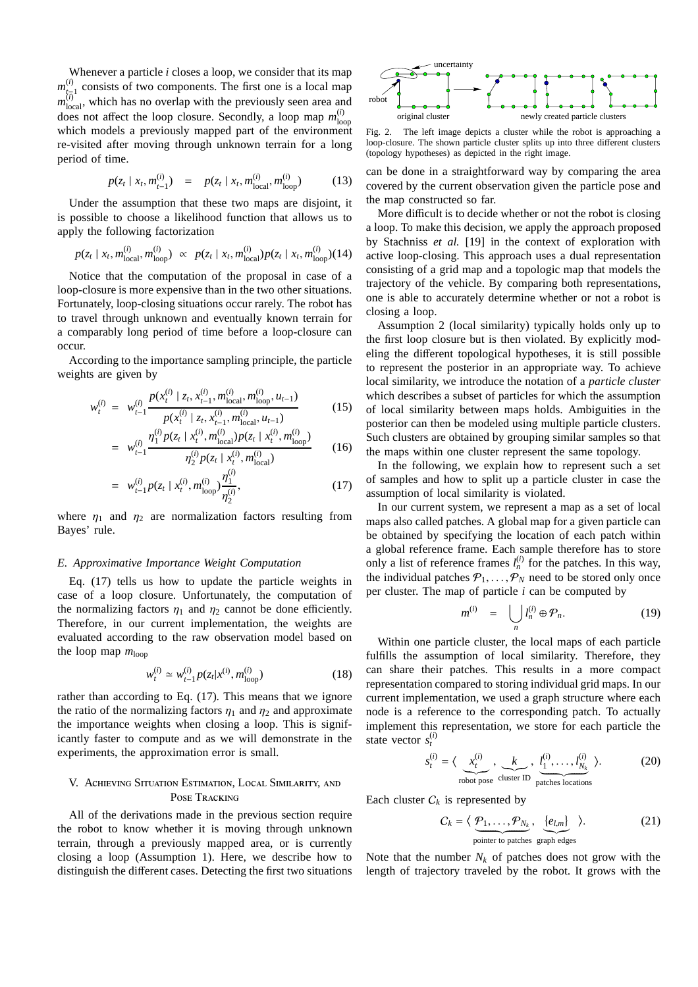Whenever a particle *i* closes a loop, we consider that its map  $m_{t_{\overline{n}}}^{(i)}$  consists of two components. The first one is a local map  $m_{\text{local}}^{(i)}$ , which has no overlap with the previously seen area and does not affect the loop closure. Secondly, a loop map  $m_{1\alpha}^{(i)}$ loop which models a previously mapped part of the environment re-visited after moving through unknown terrain for a long period of time.

$$
p(z_t | x_t, m_{t-1}^{(i)}) = p(z_t | x_t, m_{\text{local}}^{(i)}, m_{\text{loop}}^{(i)}) \qquad (13)
$$

Under the assumption that these two maps are disjoint, it is possible to choose a likelihood function that allows us to apply the following factorization

$$
p(z_t | x_t, m_{\text{local}}^{(i)}, m_{\text{loop}}^{(i)}) \propto p(z_t | x_t, m_{\text{local}}^{(i)}) p(z_t | x_t, m_{\text{loop}}^{(i)}) (14)
$$

Notice that the computation of the proposal in case of a loop-closure is more expensive than in the two other situations. Fortunately, loop-closing situations occur rarely. The robot has to travel through unknown and eventually known terrain for a comparably long period of time before a loop-closure can occur.

According to the importance sampling principle, the particle weights are given by

$$
w_t^{(i)} = w_{t-1}^{(i)} \frac{p(x_t^{(i)} \mid z_t, x_{t-1}^{(i)}, m_{\text{local}}^{(i)}, m_{\text{loop}}^{(i)}, u_{t-1})}{p(x_t^{(i)} \mid z_t, x_{t-1}^{(i)}, m_{\text{local}}^{(i)}, u_{t-1})}
$$
(15)

$$
= w_{t-1}^{(i)} \frac{p(x_t^{(i)} \mid z_t, x_{t-1}^{(i)}, m_{\text{local}}^{(i)}, u_{t-1})}{w_{t-1}^{(i)} p(z_t \mid x_t^{(i)}, m_{\text{local}}^{(i)}) p(z_t \mid x_t^{(i)}, m_{\text{loop}}^{(i)})}
$$
(16)

$$
= w_{t-1} - \eta_2^{(i)} p(z_t | x_t^{(i)}, m_{\text{local}}^{(i)})
$$
\n
$$
= w_{t-1}^{(i)} p(z_t | x_t^{(i)}, m_{\text{loop}}^{(i)}) \frac{\eta_1^{(i)}}{\eta_2^{(i)}},
$$
\n(17)

where 
$$
\eta_1
$$
 and  $\eta_2$  are normalization factors resulting from Bayes' rule.

#### *E. Approximative Importance Weight Computation*

Eq. (17) tells us how to update the particle weights in case of a loop closure. Unfortunately, the computation of the normalizing factors  $\eta_1$  and  $\eta_2$  cannot be done efficiently. Therefore, in our current implementation, the weights are evaluated according to the raw observation model based on the loop map  $m_{\text{loop}}$ 

$$
w_t^{(i)} \simeq w_{t-1}^{(i)} p(z_t | x^{(i)}, m_{\text{loop}}^{(i)})
$$
 (18)

rather than according to Eq. (17). This means that we ignore the ratio of the normalizing factors  $\eta_1$  and  $\eta_2$  and approximate the importance weights when closing a loop. This is significantly faster to compute and as we will demonstrate in the experiments, the approximation error is small.

$$
\begin{matrix} \text{V. A} & \text{S} & \text{E} \\ \text{P} & \text{T} \end{matrix} , \quad \begin{matrix} \text{L} & \text{S} \\ \text{S} \end{matrix} ,
$$

All of the derivations made in the previous section require the robot to know whether it is moving through unknown terrain, through a previously mapped area, or is currently closing a loop (Assumption 1). Here, we describe how to distinguish the different cases. Detecting the first two situations



Fig. 2. The left image depicts a cluster while the robot is approaching a loop-closure. The shown particle cluster splits up into three different clusters (topology hypotheses) as depicted in the right image.

can be done in a straightforward way by comparing the area covered by the current observation given the particle pose and the map constructed so far.

More difficult is to decide whether or not the robot is closing a loop. To make this decision, we apply the approach proposed by Stachniss *et al.* [19] in the context of exploration with active loop-closing. This approach uses a dual representation consisting of a grid map and a topologic map that models the trajectory of the vehicle. By comparing both representations, one is able to accurately determine whether or not a robot is closing a loop.

Assumption 2 (local similarity) typically holds only up to the first loop closure but is then violated. By explicitly modeling the different topological hypotheses, it is still possible to represent the posterior in an appropriate way. To achieve local similarity, we introduce the notation of a *particle cluster* which describes a subset of particles for which the assumption of local similarity between maps holds. Ambiguities in the posterior can then be modeled using multiple particle clusters. Such clusters are obtained by grouping similar samples so that the maps within one cluster represent the same topology.

In the following, we explain how to represent such a set of samples and how to split up a particle cluster in case the assumption of local similarity is violated.

In our current system, we represent a map as a set of local maps also called patches. A global map for a given particle can be obtained by specifying the location of each patch within a global reference frame. Each sample therefore has to store only a list of reference frames  $l_n^{(i)}$  for the patches. In this way, the individual patches  $P_1, \ldots, P_N$  need to be stored only once per cluster. The map of particle *i* can be computed by

$$
m^{(i)} = \bigcup_{n} l_n^{(i)} \oplus \mathcal{P}_n. \tag{19}
$$

Within one particle cluster, the local maps of each particle fulfills the assumption of local similarity. Therefore, they can share their patches. This results in a more compact representation compared to storing individual grid maps. In our current implementation, we used a graph structure where each node is a reference to the corresponding patch. To actually implement this representation, we store for each particle the state vector  $s_t^{(i)}$ 

$$
s_t^{(i)} = \langle \underbrace{x_t^{(i)}}_{\text{robot pose}} , \underbrace{k}_{\text{cluster ID}} , \underbrace{l_1^{(i)}, \dots, l_{N_k}^{(i)}}_{\text{patches locations}} \rangle. \tag{20}
$$

Each cluster  $C_k$  is represented by

$$
C_k = \langle \underbrace{\mathcal{P}_1, \dots, \mathcal{P}_{N_k}}_{\text{pointer to patches}} , \underbrace{\{e_{l,m}\}}_{\text{graph edges}} \rangle. \tag{21}
$$

Note that the number  $N_k$  of patches does not grow with the length of trajectory traveled by the robot. It grows with the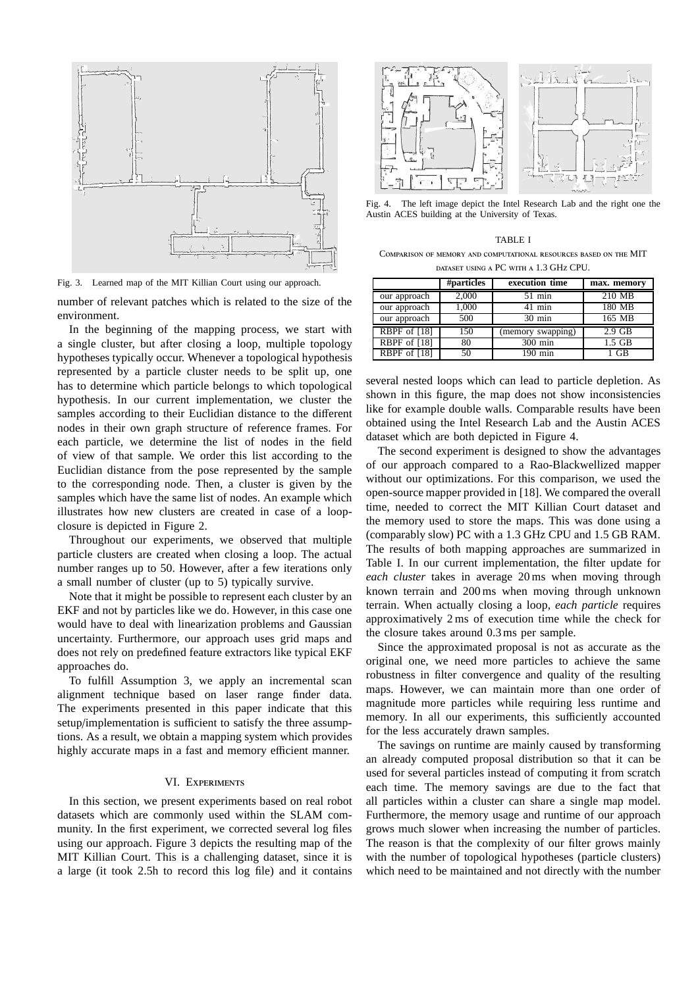

Fig. 3. Learned map of the MIT Killian Court using our approach.

number of relevant patches which is related to the size of the environment.

In the beginning of the mapping process, we start with a single cluster, but after closing a loop, multiple topology hypotheses typically occur. Whenever a topological hypothesis represented by a particle cluster needs to be split up, one has to determine which particle belongs to which topological hypothesis. In our current implementation, we cluster the samples according to their Euclidian distance to the different nodes in their own graph structure of reference frames. For each particle, we determine the list of nodes in the field of view of that sample. We order this list according to the Euclidian distance from the pose represented by the sample to the corresponding node. Then, a cluster is given by the samples which have the same list of nodes. An example which illustrates how new clusters are created in case of a loopclosure is depicted in Figure 2.

Throughout our experiments, we observed that multiple particle clusters are created when closing a loop. The actual number ranges up to 50. However, after a few iterations only a small number of cluster (up to 5) typically survive.

Note that it might be possible to represent each cluster by an EKF and not by particles like we do. However, in this case one would have to deal with linearization problems and Gaussian uncertainty. Furthermore, our approach uses grid maps and does not rely on predefined feature extractors like typical EKF approaches do.

To fulfill Assumption 3, we apply an incremental scan alignment technique based on laser range finder data. The experiments presented in this paper indicate that this setup/implementation is sufficient to satisfy the three assumptions. As a result, we obtain a mapping system which provides highly accurate maps in a fast and memory efficient manner.

#### VI. E

In this section, we present experiments based on real robot datasets which are commonly used within the SLAM community. In the first experiment, we corrected several log files using our approach. Figure 3 depicts the resulting map of the MIT Killian Court. This is a challenging dataset, since it is a large (it took 2.5h to record this log file) and it contains



Fig. 4. The left image depict the Intel Research Lab and the right one the Austin ACES building at the University of Texas.

|              |            | TABLE I            |             |
|--------------|------------|--------------------|-------------|
| C            |            |                    | MIT         |
|              |            | PC.<br>1.3 GH CPU. |             |
|              | #particles | execution time     | max. memory |
| our approach | 2.000      | 51 min             | 210 MB      |
|              |            |                    |             |

| our approach | 2,000 | 51 min            | 210 MB   |
|--------------|-------|-------------------|----------|
| our approach | 1.000 | 41 min            | 180 MB   |
| our approach | 500   | $30 \text{ min}$  | 165 MB   |
| RBPF of [18] | 150   | (memory swapping) | $2.9$ GB |
| RBPF of [18] | 80    | $300 \text{ min}$ | $1.5$ GB |
| RBPF of [18] | 50    | .90 min           |          |

several nested loops which can lead to particle depletion. As shown in this figure, the map does not show inconsistencies like for example double walls. Comparable results have been obtained using the Intel Research Lab and the Austin ACES dataset which are both depicted in Figure 4.

The second experiment is designed to show the advantages of our approach compared to a Rao-Blackwellized mapper without our optimizations. For this comparison, we used the open-source mapper provided in [18]. We compared the overall time, needed to correct the MIT Killian Court dataset and the memory used to store the maps. This was done using a (comparably slow) PC with a 1.3 GHz CPU and 1.5 GB RAM. The results of both mapping approaches are summarized in Table I. In our current implementation, the filter update for *each cluster* takes in average 20 ms when moving through known terrain and 200 ms when moving through unknown terrain. When actually closing a loop, *each particle* requires approximatively 2 ms of execution time while the check for the closure takes around 0.3 ms per sample.

Since the approximated proposal is not as accurate as the original one, we need more particles to achieve the same robustness in filter convergence and quality of the resulting maps. However, we can maintain more than one order of magnitude more particles while requiring less runtime and memory. In all our experiments, this sufficiently accounted for the less accurately drawn samples.

The savings on runtime are mainly caused by transforming an already computed proposal distribution so that it can be used for several particles instead of computing it from scratch each time. The memory savings are due to the fact that all particles within a cluster can share a single map model. Furthermore, the memory usage and runtime of our approach grows much slower when increasing the number of particles. The reason is that the complexity of our filter grows mainly with the number of topological hypotheses (particle clusters) which need to be maintained and not directly with the number